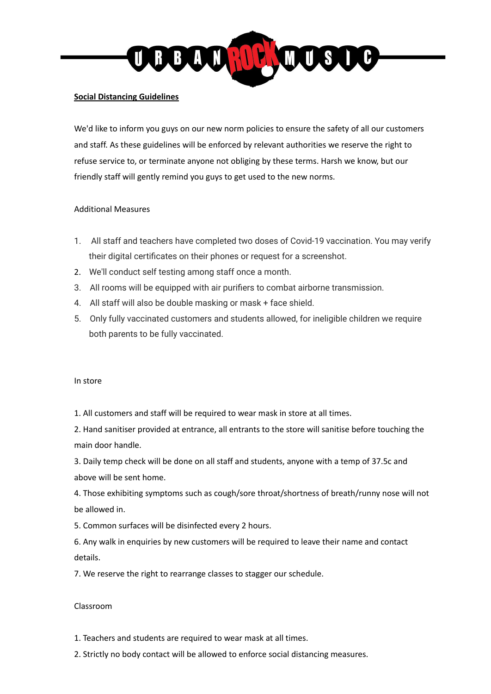

#### **Social Distancing Guidelines**

We'd like to inform you guys on our new norm policies to ensure the safety of all our customers and staff. As these guidelines will be enforced by relevant authorities we reserve the right to refuse service to, or terminate anyone not obliging by these terms. Harsh we know, but our friendly staff will gently remind you guys to get used to the new norms.

# Additional Measures

- 1. All staff and teachers have completed two doses of Covid-19 vaccination. You may verify their digital certificates on their phones or request for a screenshot.
- 2. We'll conduct self testing among staff once a month.
- 3. All rooms will be equipped with air purifiers to combat airborne transmission.
- 4. All staff will also be double masking or mask + face shield.
- 5. Only fully vaccinated customers and students allowed, for ineligible children we require both parents to be fully vaccinated.

#### In store

1. All customers and staff will be required to wear mask in store at all times.

2. Hand sanitiser provided at entrance, all entrants to the store will sanitise before touching the main door handle.

3. Daily temp check will be done on all staff and students, anyone with a temp of 37.5c and above will be sent home.

4. Those exhibiting symptoms such as cough/sore throat/shortness of breath/runny nose will not be allowed in.

5. Common surfaces will be disinfected every 2 hours.

6. Any walk in enquiries by new customers will be required to leave their name and contact details.

7. We reserve the right to rearrange classes to stagger our schedule.

# Classroom

- 1. Teachers and students are required to wear mask at all times.
- 2. Strictly no body contact will be allowed to enforce social distancing measures.